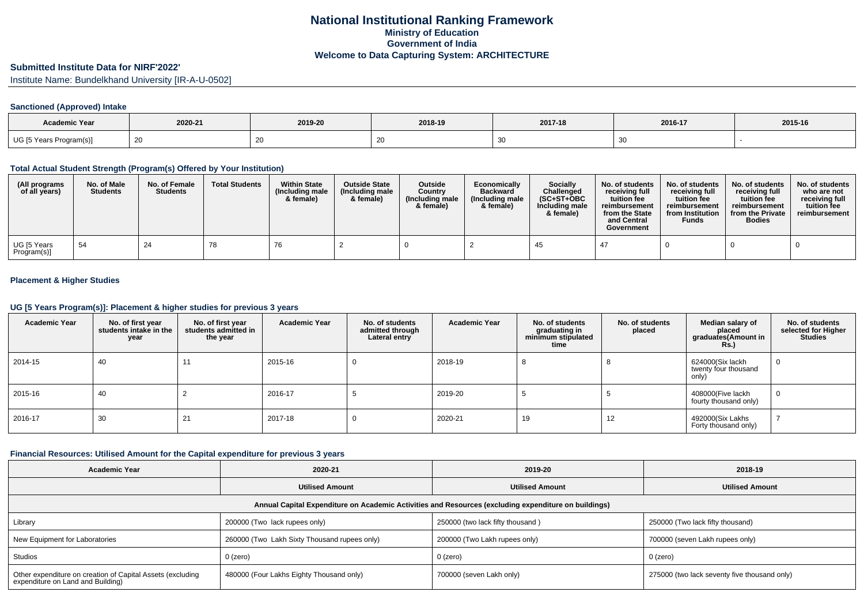# **Submitted Institute Data for NIRF'2022'**

Institute Name: Bundelkhand University [IR-A-U-0502]

### **Sanctioned (Approved) Intake**

| <b>Academic Year</b>    | 2020-21      | 2019-20 | 2018-19 | 2017-18 | 2016-17 | 2015-16 |
|-------------------------|--------------|---------|---------|---------|---------|---------|
| UG [5 Years Program(s)] | $\sim$<br>26 |         | ້       |         |         |         |

#### **Total Actual Student Strength (Program(s) Offered by Your Institution)**

| (All programs<br>of all years) | No. of Male<br><b>Students</b> | No. of Female<br><b>Students</b> | <b>Total Students</b> | <b>Within State</b><br>(Including male<br>& female) | <b>Outside State</b><br>(Including male<br>& female) | <b>Outside</b><br>Country<br>(Including male<br>& female) | Economically<br><b>Backward</b><br>(Including male<br>& female) | <b>Socially</b><br>Challenged<br>$(SC+ST+OBC$<br>Including male<br>& female) | No. of students<br>receiving full<br>tuition fee<br>reimbursement<br>from the State<br>and Central<br>Government | No. of students<br>receiving full<br>tuition fee<br>reimbursement<br>from Institution<br><b>Funds</b> | No. of students<br>receiving full<br>tuition fee<br>reimbursement<br>from the Private<br><b>Bodies</b> | No. of students<br>who are not<br>receiving full<br>tuition fee<br>reimbursement |
|--------------------------------|--------------------------------|----------------------------------|-----------------------|-----------------------------------------------------|------------------------------------------------------|-----------------------------------------------------------|-----------------------------------------------------------------|------------------------------------------------------------------------------|------------------------------------------------------------------------------------------------------------------|-------------------------------------------------------------------------------------------------------|--------------------------------------------------------------------------------------------------------|----------------------------------------------------------------------------------|
| UG [5 Years<br>Program(s)]     | -54                            | 24                               | 78                    | -76                                                 |                                                      |                                                           |                                                                 | -45                                                                          |                                                                                                                  |                                                                                                       |                                                                                                        |                                                                                  |

### **Placement & Higher Studies**

#### **UG [5 Years Program(s)]: Placement & higher studies for previous 3 years**

| <b>Academic Year</b> | No. of first year<br>students intake in the<br>year | No. of first year<br>students admitted in<br>the year | <b>Academic Year</b> | No. of students<br>admitted through<br>Lateral entry | <b>Academic Year</b> | No. of students<br>graduating in<br>minimum stipulated<br>time | No. of students<br>placed | Median salary of<br>placed<br>graduates(Amount in<br><b>Rs.)</b> | No. of students<br>selected for Higher<br><b>Studies</b> |
|----------------------|-----------------------------------------------------|-------------------------------------------------------|----------------------|------------------------------------------------------|----------------------|----------------------------------------------------------------|---------------------------|------------------------------------------------------------------|----------------------------------------------------------|
| 2014-15              | 40                                                  | 11                                                    | 2015-16              |                                                      | 2018-19              |                                                                |                           | 624000(Six lackh<br>twenty four thousand<br>only)                | 0                                                        |
| 2015-16              | 40                                                  |                                                       | 2016-17              |                                                      | 2019-20              |                                                                |                           | 408000(Five lackh<br>fourty thousand only)                       | 0                                                        |
| 2016-17              | 30                                                  | 21                                                    | 2017-18              |                                                      | 2020-21              | 19                                                             | 12                        | 492000(Six Lakhs<br>Forty thousand only)                         |                                                          |

#### **Financial Resources: Utilised Amount for the Capital expenditure for previous 3 years**

| Academic Year                                                                                        | 2020-21                                          | 2019-20                          | 2018-19                                      |  |  |  |  |  |  |
|------------------------------------------------------------------------------------------------------|--------------------------------------------------|----------------------------------|----------------------------------------------|--|--|--|--|--|--|
|                                                                                                      | <b>Utilised Amount</b><br><b>Utilised Amount</b> |                                  | <b>Utilised Amount</b>                       |  |  |  |  |  |  |
| Annual Capital Expenditure on Academic Activities and Resources (excluding expenditure on buildings) |                                                  |                                  |                                              |  |  |  |  |  |  |
| Library                                                                                              | 200000 (Two lack rupees only)                    | 250000 (two lack fifty thousand) | 250000 (Two lack fifty thousand)             |  |  |  |  |  |  |
| New Equipment for Laboratories                                                                       | 260000 (Two Lakh Sixty Thousand rupees only)     | 200000 (Two Lakh rupees only)    | 700000 (seven Lakh rupees only)              |  |  |  |  |  |  |
| Studios                                                                                              | 0 (zero)                                         | 0 (zero)                         | 0 (zero)                                     |  |  |  |  |  |  |
| Other expenditure on creation of Capital Assets (excluding<br>expenditure on Land and Building)      | 480000 (Four Lakhs Eighty Thousand only)         | 700000 (seven Lakh only)         | 275000 (two lack seventy five thousand only) |  |  |  |  |  |  |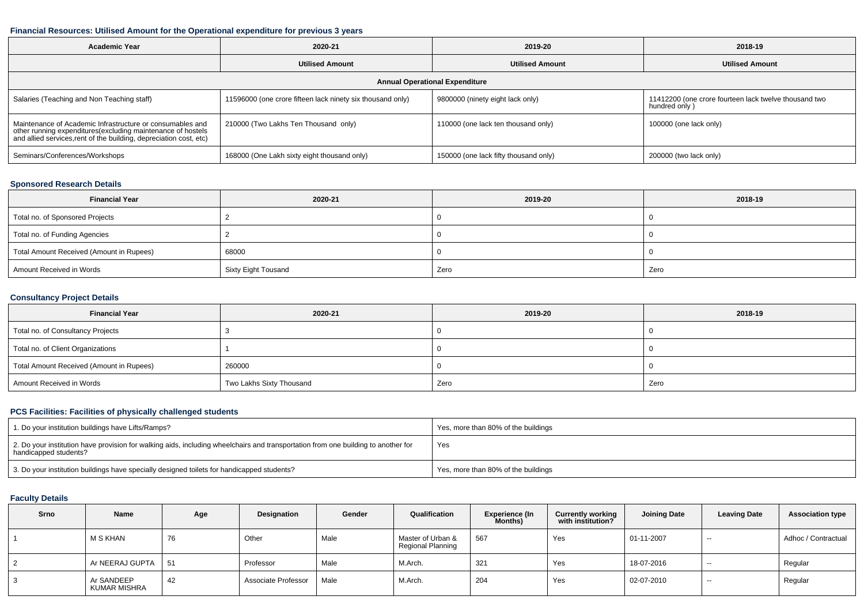#### **Financial Resources: Utilised Amount for the Operational expenditure for previous 3 years**

| Academic Year                                                                                                                                                                                 | 2020-21                                                    |                                       | 2018-19                                                                |  |  |  |  |  |  |
|-----------------------------------------------------------------------------------------------------------------------------------------------------------------------------------------------|------------------------------------------------------------|---------------------------------------|------------------------------------------------------------------------|--|--|--|--|--|--|
|                                                                                                                                                                                               | <b>Utilised Amount</b>                                     | <b>Utilised Amount</b>                |                                                                        |  |  |  |  |  |  |
| <b>Annual Operational Expenditure</b>                                                                                                                                                         |                                                            |                                       |                                                                        |  |  |  |  |  |  |
| Salaries (Teaching and Non Teaching staff)                                                                                                                                                    | 11596000 (one crore fifteen lack ninety six thousand only) | 9800000 (ninety eight lack only)      | 11412200 (one crore fourteen lack twelve thousand two<br>hundred only) |  |  |  |  |  |  |
| Maintenance of Academic Infrastructure or consumables and<br>other running expenditures(excluding maintenance of hostels<br>and allied services,rent of the building, depreciation cost, etc) | 210000 (Two Lakhs Ten Thousand only)                       | 110000 (one lack ten thousand only)   | 100000 (one lack only)                                                 |  |  |  |  |  |  |
| Seminars/Conferences/Workshops                                                                                                                                                                | 168000 (One Lakh sixty eight thousand only)                | 150000 (one lack fifty thousand only) | 200000 (two lack only)                                                 |  |  |  |  |  |  |

## **Sponsored Research Details**

| <b>Financial Year</b>                    | 2020-21             | 2019-20 | 2018-19 |
|------------------------------------------|---------------------|---------|---------|
| Total no. of Sponsored Projects          |                     |         |         |
| Total no. of Funding Agencies            |                     |         |         |
| Total Amount Received (Amount in Rupees) | 68000               |         |         |
| Amount Received in Words                 | Sixty Eight Tousand | Zero    | Zero    |

### **Consultancy Project Details**

| <b>Financial Year</b>                    | 2020-21                  | 2019-20 | 2018-19 |
|------------------------------------------|--------------------------|---------|---------|
| Total no. of Consultancy Projects        |                          |         |         |
| Total no. of Client Organizations        |                          |         |         |
| Total Amount Received (Amount in Rupees) | 260000                   |         |         |
| Amount Received in Words                 | Two Lakhs Sixty Thousand | Zero    | Zero    |

#### **PCS Facilities: Facilities of physically challenged students**

| 1. Do your institution buildings have Lifts/Ramps?                                                                                                         | Yes, more than 80% of the buildings |
|------------------------------------------------------------------------------------------------------------------------------------------------------------|-------------------------------------|
| 2. Do your institution have provision for walking aids, including wheelchairs and transportation from one building to another for<br>handicapped students? | Yes                                 |
| 3. Do your institution buildings have specially designed toilets for handicapped students?                                                                 | Yes, more than 80% of the buildings |

## **Faculty Details**

| Srno | Name                       | Age | Designation         | Gender | Qualification                          | <b>Experience (In</b><br>Months) | <b>Currently working</b><br>with institution? | <b>Joining Date</b> | <b>Leaving Date</b> | <b>Association type</b> |
|------|----------------------------|-----|---------------------|--------|----------------------------------------|----------------------------------|-----------------------------------------------|---------------------|---------------------|-------------------------|
|      | M S KHAN                   | 76  | Other               | Male   | Master of Urban &<br>Regional Planning | .567                             | Yes                                           | 01-11-2007          | $ \sim$             | Adhoc / Contractual     |
| 2    | Ar NEERAJ GUPTA            | 51  | Professor           | Male   | M.Arch.                                | -321                             | Yes                                           | 18-07-2016          | $ \sim$             | Regular                 |
| J.   | Ar SANDEEP<br>KUMAR MISHRA | 42  | Associate Professor | Male   | M.Arch.                                | 204                              | Yes                                           | 02-07-2010          | $- -$               | Regular                 |